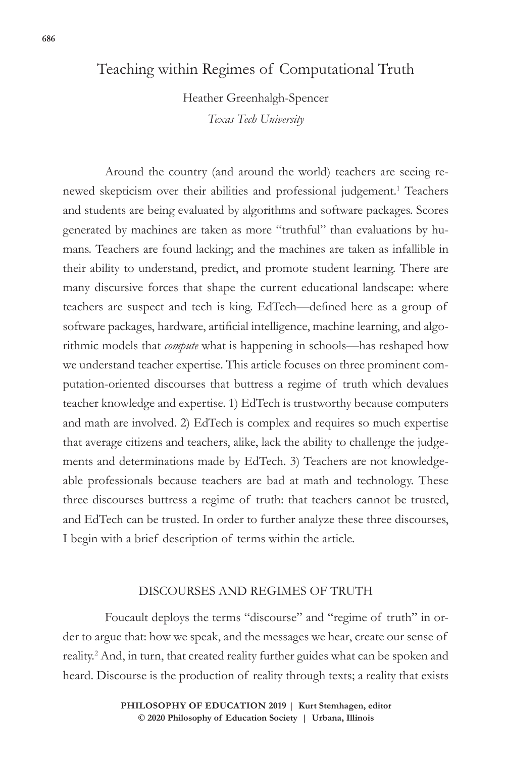### Teaching within Regimes of Computational Truth

Heather Greenhalgh-Spencer *Texas Tech University*

Around the country (and around the world) teachers are seeing renewed skepticism over their abilities and professional judgement.<sup>1</sup> Teachers and students are being evaluated by algorithms and software packages. Scores generated by machines are taken as more "truthful" than evaluations by humans. Teachers are found lacking; and the machines are taken as infallible in their ability to understand, predict, and promote student learning. There are many discursive forces that shape the current educational landscape: where teachers are suspect and tech is king. EdTech—defined here as a group of software packages, hardware, artificial intelligence, machine learning, and algorithmic models that *compute* what is happening in schools—has reshaped how we understand teacher expertise. This article focuses on three prominent computation-oriented discourses that buttress a regime of truth which devalues teacher knowledge and expertise. 1) EdTech is trustworthy because computers and math are involved. 2) EdTech is complex and requires so much expertise that average citizens and teachers, alike, lack the ability to challenge the judgements and determinations made by EdTech. 3) Teachers are not knowledgeable professionals because teachers are bad at math and technology. These three discourses buttress a regime of truth: that teachers cannot be trusted, and EdTech can be trusted. In order to further analyze these three discourses, I begin with a brief description of terms within the article.

#### DISCOURSES AND REGIMES OF TRUTH

Foucault deploys the terms "discourse" and "regime of truth" in order to argue that: how we speak, and the messages we hear, create our sense of reality.2 And, in turn, that created reality further guides what can be spoken and heard. Discourse is the production of reality through texts; a reality that exists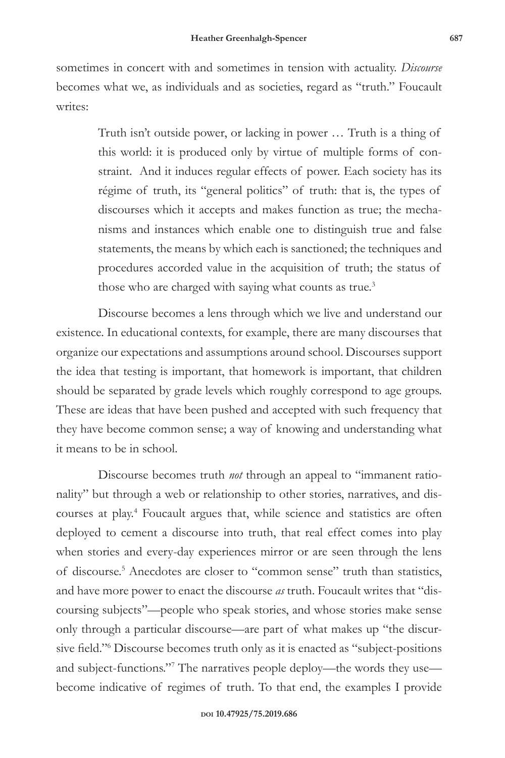sometimes in concert with and sometimes in tension with actuality. *Discourse* becomes what we, as individuals and as societies, regard as "truth." Foucault writes:

> Truth isn't outside power, or lacking in power … Truth is a thing of this world: it is produced only by virtue of multiple forms of constraint. And it induces regular effects of power. Each society has its régime of truth, its "general politics" of truth: that is, the types of discourses which it accepts and makes function as true; the mechanisms and instances which enable one to distinguish true and false statements, the means by which each is sanctioned; the techniques and procedures accorded value in the acquisition of truth; the status of those who are charged with saying what counts as true.<sup>3</sup>

Discourse becomes a lens through which we live and understand our existence. In educational contexts, for example, there are many discourses that organize our expectations and assumptions around school. Discourses support the idea that testing is important, that homework is important, that children should be separated by grade levels which roughly correspond to age groups. These are ideas that have been pushed and accepted with such frequency that they have become common sense; a way of knowing and understanding what it means to be in school.

Discourse becomes truth *not* through an appeal to "immanent rationality" but through a web or relationship to other stories, narratives, and discourses at play.<sup>4</sup> Foucault argues that, while science and statistics are often deployed to cement a discourse into truth, that real effect comes into play when stories and every-day experiences mirror or are seen through the lens of discourse.5 Anecdotes are closer to "common sense" truth than statistics, and have more power to enact the discourse *as* truth. Foucault writes that "discoursing subjects"—people who speak stories, and whose stories make sense only through a particular discourse—are part of what makes up "the discursive field."<sup>6</sup> Discourse becomes truth only as it is enacted as "subject-positions and subject-functions."7 The narratives people deploy—the words they use become indicative of regimes of truth. To that end, the examples I provide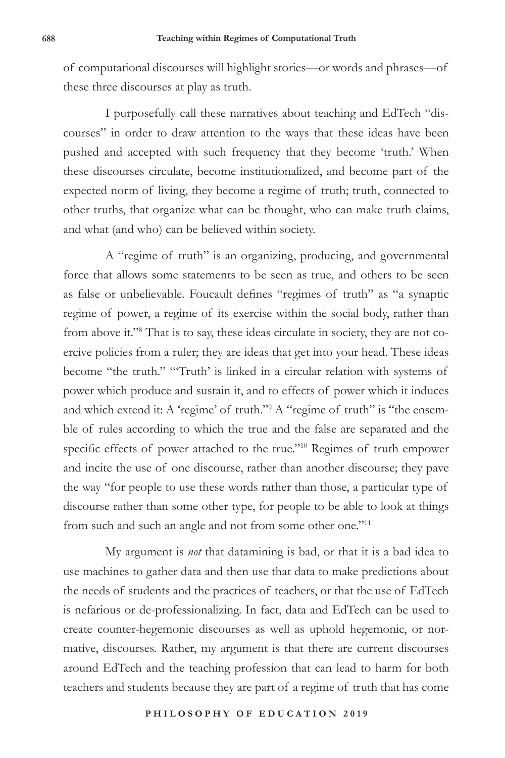of computational discourses will highlight stories—or words and phrases—of these three discourses at play as truth.

I purposefully call these narratives about teaching and EdTech "discourses" in order to draw attention to the ways that these ideas have been pushed and accepted with such frequency that they become 'truth.' When these discourses circulate, become institutionalized, and become part of the expected norm of living, they become a regime of truth; truth, connected to other truths, that organize what can be thought, who can make truth claims, and what (and who) can be believed within society.

A "regime of truth" is an organizing, producing, and governmental force that allows some statements to be seen as true, and others to be seen as false or unbelievable. Foucault defines "regimes of truth" as "a synaptic regime of power, a regime of its exercise within the social body, rather than from above it."<sup>8</sup> That is to say, these ideas circulate in society, they are not coercive policies from a ruler; they are ideas that get into your head. These ideas become "the truth." "'Truth' is linked in a circular relation with systems of power which produce and sustain it, and to effects of power which it induces and which extend it: A 'regime' of truth."<sup>9</sup> A "regime of truth" is "the ensemble of rules according to which the true and the false are separated and the specific effects of power attached to the true."<sup>10</sup> Regimes of truth empower and incite the use of one discourse, rather than another discourse; they pave the way "for people to use these words rather than those, a particular type of discourse rather than some other type, for people to be able to look at things from such and such an angle and not from some other one."11

My argument is *not* that datamining is bad, or that it is a bad idea to use machines to gather data and then use that data to make predictions about the needs of students and the practices of teachers, or that the use of EdTech is nefarious or de-professionalizing. In fact, data and EdTech can be used to create counter-hegemonic discourses as well as uphold hegemonic, or normative, discourses. Rather, my argument is that there are current discourses around EdTech and the teaching profession that can lead to harm for both teachers and students because they are part of a regime of truth that has come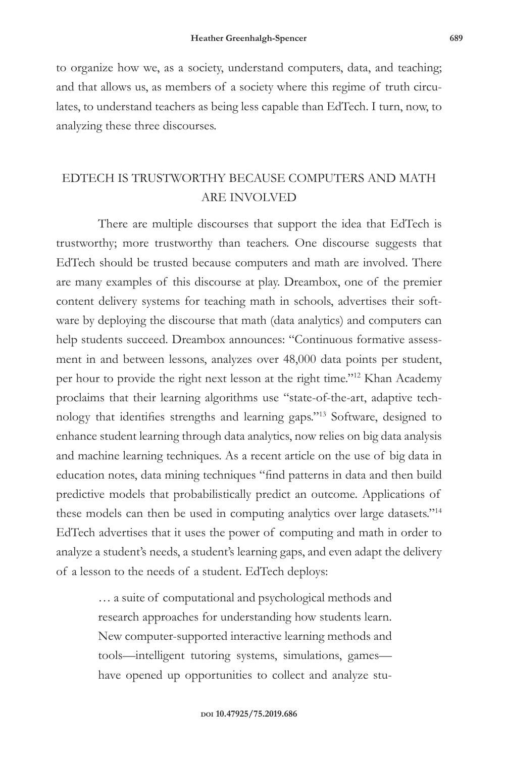to organize how we, as a society, understand computers, data, and teaching; and that allows us, as members of a society where this regime of truth circulates, to understand teachers as being less capable than EdTech. I turn, now, to analyzing these three discourses.

# EDTECH IS TRUSTWORTHY BECAUSE COMPUTERS AND MATH ARE INVOLVED

There are multiple discourses that support the idea that EdTech is trustworthy; more trustworthy than teachers. One discourse suggests that EdTech should be trusted because computers and math are involved. There are many examples of this discourse at play. Dreambox, one of the premier content delivery systems for teaching math in schools, advertises their software by deploying the discourse that math (data analytics) and computers can help students succeed. Dreambox announces: "Continuous formative assessment in and between lessons, analyzes over 48,000 data points per student, per hour to provide the right next lesson at the right time."12 Khan Academy proclaims that their learning algorithms use "state-of-the-art, adaptive technology that identifies strengths and learning gaps."13 Software, designed to enhance student learning through data analytics, now relies on big data analysis and machine learning techniques. As a recent article on the use of big data in education notes, data mining techniques "find patterns in data and then build predictive models that probabilistically predict an outcome. Applications of these models can then be used in computing analytics over large datasets."14 EdTech advertises that it uses the power of computing and math in order to analyze a student's needs, a student's learning gaps, and even adapt the delivery of a lesson to the needs of a student. EdTech deploys:

> … a suite of computational and psychological methods and research approaches for understanding how students learn. New computer-supported interactive learning methods and tools—intelligent tutoring systems, simulations, games have opened up opportunities to collect and analyze stu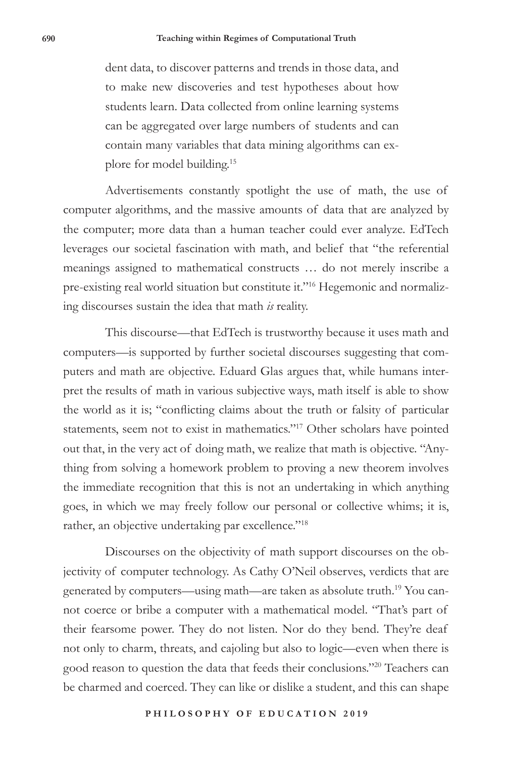dent data, to discover patterns and trends in those data, and to make new discoveries and test hypotheses about how students learn. Data collected from online learning systems can be aggregated over large numbers of students and can contain many variables that data mining algorithms can explore for model building.15

Advertisements constantly spotlight the use of math, the use of computer algorithms, and the massive amounts of data that are analyzed by the computer; more data than a human teacher could ever analyze. EdTech leverages our societal fascination with math, and belief that "the referential meanings assigned to mathematical constructs … do not merely inscribe a pre-existing real world situation but constitute it."<sup>16</sup> Hegemonic and normalizing discourses sustain the idea that math *is* reality.

This discourse—that EdTech is trustworthy because it uses math and computers—is supported by further societal discourses suggesting that computers and math are objective. Eduard Glas argues that, while humans interpret the results of math in various subjective ways, math itself is able to show the world as it is; "conflicting claims about the truth or falsity of particular statements, seem not to exist in mathematics."17 Other scholars have pointed out that, in the very act of doing math, we realize that math is objective. "Anything from solving a homework problem to proving a new theorem involves the immediate recognition that this is not an undertaking in which anything goes, in which we may freely follow our personal or collective whims; it is, rather, an objective undertaking par excellence."<sup>18</sup>

Discourses on the objectivity of math support discourses on the objectivity of computer technology. As Cathy O'Neil observes, verdicts that are generated by computers—using math—are taken as absolute truth.19 You cannot coerce or bribe a computer with a mathematical model. "That's part of their fearsome power. They do not listen. Nor do they bend. They're deaf not only to charm, threats, and cajoling but also to logic—even when there is good reason to question the data that feeds their conclusions."20 Teachers can be charmed and coerced. They can like or dislike a student, and this can shape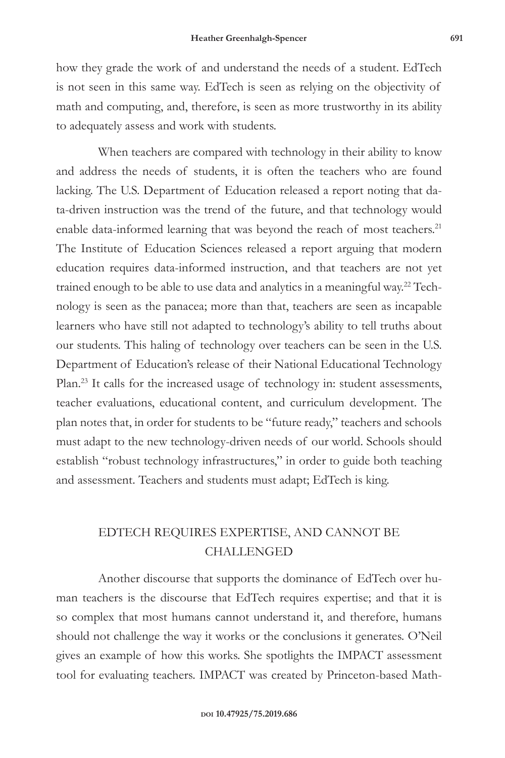how they grade the work of and understand the needs of a student. EdTech is not seen in this same way. EdTech is seen as relying on the objectivity of math and computing, and, therefore, is seen as more trustworthy in its ability to adequately assess and work with students.

When teachers are compared with technology in their ability to know and address the needs of students, it is often the teachers who are found lacking. The U.S. Department of Education released a report noting that data-driven instruction was the trend of the future, and that technology would enable data-informed learning that was beyond the reach of most teachers.<sup>21</sup> The Institute of Education Sciences released a report arguing that modern education requires data-informed instruction, and that teachers are not yet trained enough to be able to use data and analytics in a meaningful way.<sup>22</sup> Technology is seen as the panacea; more than that, teachers are seen as incapable learners who have still not adapted to technology's ability to tell truths about our students. This haling of technology over teachers can be seen in the U.S. Department of Education's release of their National Educational Technology Plan.<sup>23</sup> It calls for the increased usage of technology in: student assessments, teacher evaluations, educational content, and curriculum development. The plan notes that, in order for students to be "future ready," teachers and schools must adapt to the new technology-driven needs of our world. Schools should establish "robust technology infrastructures," in order to guide both teaching and assessment. Teachers and students must adapt; EdTech is king.

## EDTECH REQUIRES EXPERTISE, AND CANNOT BE CHALLENGED

Another discourse that supports the dominance of EdTech over human teachers is the discourse that EdTech requires expertise; and that it is so complex that most humans cannot understand it, and therefore, humans should not challenge the way it works or the conclusions it generates. O'Neil gives an example of how this works. She spotlights the IMPACT assessment tool for evaluating teachers. IMPACT was created by Princeton-based Math-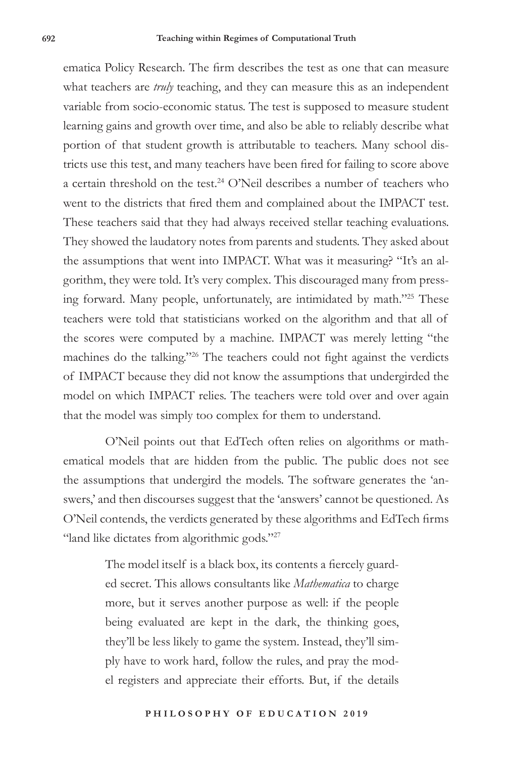ematica Policy Research*.* The firm describes the test as one that can measure what teachers are *truly* teaching, and they can measure this as an independent variable from socio-economic status. The test is supposed to measure student learning gains and growth over time, and also be able to reliably describe what portion of that student growth is attributable to teachers. Many school districts use this test, and many teachers have been fired for failing to score above a certain threshold on the test.<sup>24</sup> O'Neil describes a number of teachers who went to the districts that fired them and complained about the IMPACT test. These teachers said that they had always received stellar teaching evaluations. They showed the laudatory notes from parents and students. They asked about the assumptions that went into IMPACT. What was it measuring? "It's an algorithm, they were told. It's very complex. This discouraged many from pressing forward. Many people, unfortunately, are intimidated by math."25 These teachers were told that statisticians worked on the algorithm and that all of the scores were computed by a machine. IMPACT was merely letting "the machines do the talking."26 The teachers could not fight against the verdicts of IMPACT because they did not know the assumptions that undergirded the model on which IMPACT relies. The teachers were told over and over again that the model was simply too complex for them to understand.

O'Neil points out that EdTech often relies on algorithms or mathematical models that are hidden from the public. The public does not see the assumptions that undergird the models. The software generates the 'answers,' and then discourses suggest that the 'answers' cannot be questioned. As O'Neil contends, the verdicts generated by these algorithms and EdTech firms "land like dictates from algorithmic gods."<sup>27</sup>

> The model itself is a black box, its contents a fiercely guarded secret. This allows consultants like *Mathematica* to charge more, but it serves another purpose as well: if the people being evaluated are kept in the dark, the thinking goes, they'll be less likely to game the system. Instead, they'll simply have to work hard, follow the rules, and pray the model registers and appreciate their efforts. But, if the details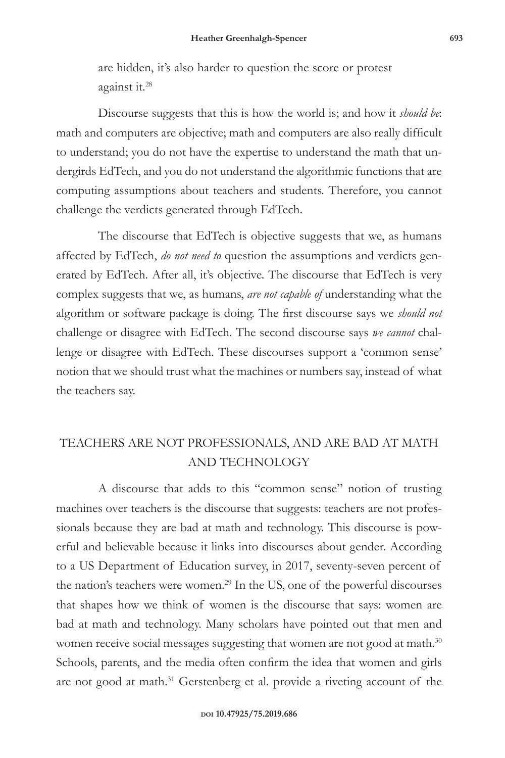are hidden, it's also harder to question the score or protest against it.28

Discourse suggests that this is how the world is; and how it *should be*: math and computers are objective; math and computers are also really difficult to understand; you do not have the expertise to understand the math that undergirds EdTech, and you do not understand the algorithmic functions that are computing assumptions about teachers and students. Therefore, you cannot challenge the verdicts generated through EdTech.

The discourse that EdTech is objective suggests that we, as humans affected by EdTech, *do not need to* question the assumptions and verdicts generated by EdTech. After all, it's objective. The discourse that EdTech is very complex suggests that we, as humans, *are not capable of* understanding what the algorithm or software package is doing. The first discourse says we *should not* challenge or disagree with EdTech. The second discourse says *we cannot* challenge or disagree with EdTech. These discourses support a 'common sense' notion that we should trust what the machines or numbers say, instead of what the teachers say.

# TEACHERS ARE NOT PROFESSIONALS, AND ARE BAD AT MATH AND TECHNOLOGY

A discourse that adds to this "common sense" notion of trusting machines over teachers is the discourse that suggests: teachers are not professionals because they are bad at math and technology. This discourse is powerful and believable because it links into discourses about gender. According to a US Department of Education survey, in 2017, seventy-seven percent of the nation's teachers were women.<sup>29</sup> In the US, one of the powerful discourses that shapes how we think of women is the discourse that says: women are bad at math and technology. Many scholars have pointed out that men and women receive social messages suggesting that women are not good at math.<sup>30</sup> Schools, parents, and the media often confirm the idea that women and girls are not good at math.<sup>31</sup> Gerstenberg et al. provide a riveting account of the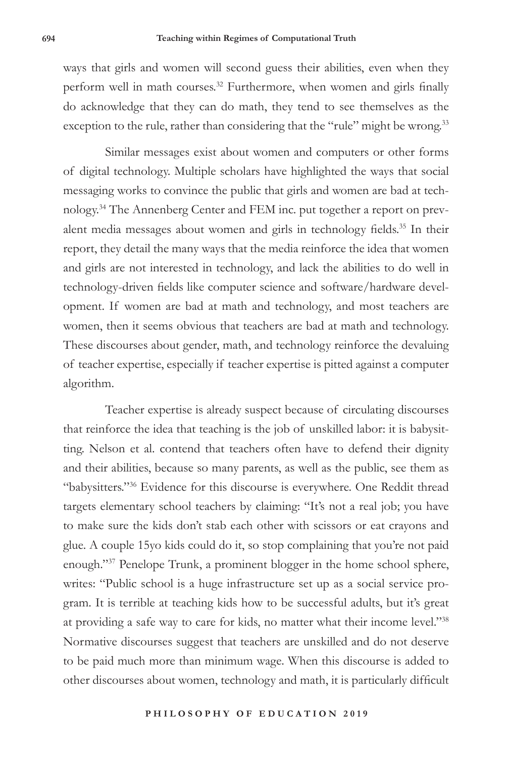ways that girls and women will second guess their abilities, even when they perform well in math courses.<sup>32</sup> Furthermore, when women and girls finally do acknowledge that they can do math, they tend to see themselves as the exception to the rule, rather than considering that the "rule" might be wrong.<sup>33</sup>

Similar messages exist about women and computers or other forms of digital technology. Multiple scholars have highlighted the ways that social messaging works to convince the public that girls and women are bad at technology.34 The Annenberg Center and FEM inc. put together a report on prevalent media messages about women and girls in technology fields.<sup>35</sup> In their report, they detail the many ways that the media reinforce the idea that women and girls are not interested in technology, and lack the abilities to do well in technology-driven fields like computer science and software/hardware development. If women are bad at math and technology, and most teachers are women, then it seems obvious that teachers are bad at math and technology. These discourses about gender, math, and technology reinforce the devaluing of teacher expertise, especially if teacher expertise is pitted against a computer algorithm.

Teacher expertise is already suspect because of circulating discourses that reinforce the idea that teaching is the job of unskilled labor: it is babysitting. Nelson et al. contend that teachers often have to defend their dignity and their abilities, because so many parents, as well as the public, see them as "babysitters."36 Evidence for this discourse is everywhere. One Reddit thread targets elementary school teachers by claiming: "It's not a real job; you have to make sure the kids don't stab each other with scissors or eat crayons and glue. A couple 15yo kids could do it, so stop complaining that you're not paid enough."37 Penelope Trunk, a prominent blogger in the home school sphere, writes: "Public school is a huge infrastructure set up as a social service program. It is terrible at teaching kids how to be successful adults, but it's great at providing a safe way to care for kids, no matter what their income level."38 Normative discourses suggest that teachers are unskilled and do not deserve to be paid much more than minimum wage. When this discourse is added to other discourses about women, technology and math, it is particularly difficult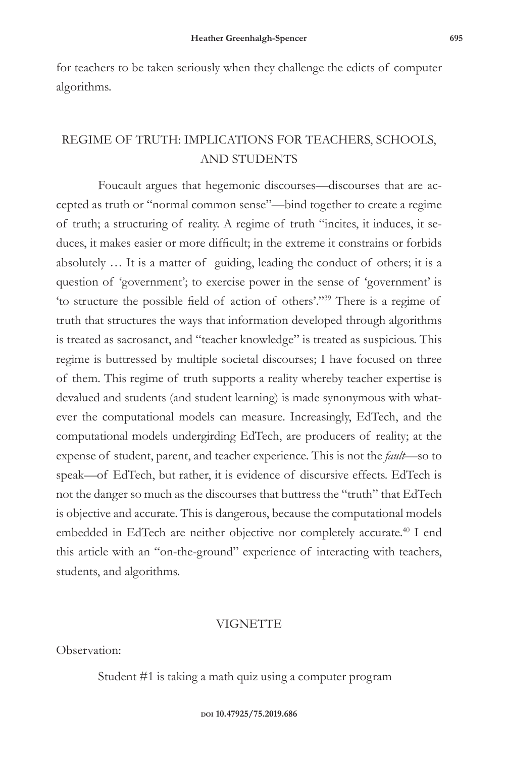for teachers to be taken seriously when they challenge the edicts of computer algorithms.

### REGIME OF TRUTH: IMPLICATIONS FOR TEACHERS, SCHOOLS, AND STUDENTS

Foucault argues that hegemonic discourses—discourses that are accepted as truth or "normal common sense"—bind together to create a regime of truth; a structuring of reality. A regime of truth "incites, it induces, it seduces, it makes easier or more difficult; in the extreme it constrains or forbids absolutely … It is a matter of guiding, leading the conduct of others; it is a question of 'government'; to exercise power in the sense of 'government' is 'to structure the possible field of action of others'."39 There is a regime of truth that structures the ways that information developed through algorithms is treated as sacrosanct, and "teacher knowledge" is treated as suspicious. This regime is buttressed by multiple societal discourses; I have focused on three of them. This regime of truth supports a reality whereby teacher expertise is devalued and students (and student learning) is made synonymous with whatever the computational models can measure. Increasingly, EdTech, and the computational models undergirding EdTech, are producers of reality; at the expense of student, parent, and teacher experience. This is not the *fault*—so to speak—of EdTech, but rather, it is evidence of discursive effects. EdTech is not the danger so much as the discourses that buttress the "truth" that EdTech is objective and accurate. This is dangerous, because the computational models embedded in EdTech are neither objective nor completely accurate.40 I end this article with an "on-the-ground" experience of interacting with teachers, students, and algorithms.

#### VIGNETTE

Observation:

Student #1 is taking a math quiz using a computer program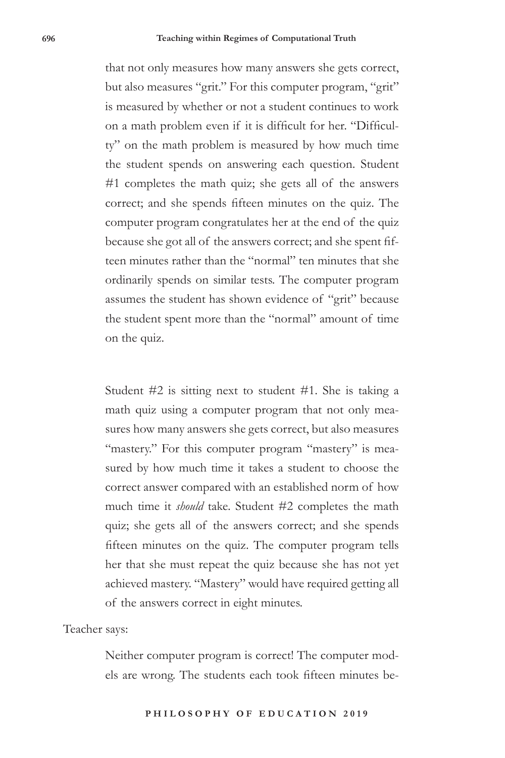that not only measures how many answers she gets correct, but also measures "grit." For this computer program, "grit" is measured by whether or not a student continues to work on a math problem even if it is difficult for her. "Difficulty" on the math problem is measured by how much time the student spends on answering each question. Student #1 completes the math quiz; she gets all of the answers correct; and she spends fifteen minutes on the quiz. The computer program congratulates her at the end of the quiz because she got all of the answers correct; and she spent fifteen minutes rather than the "normal" ten minutes that she ordinarily spends on similar tests. The computer program assumes the student has shown evidence of "grit" because the student spent more than the "normal" amount of time on the quiz.

Student #2 is sitting next to student #1. She is taking a math quiz using a computer program that not only measures how many answers she gets correct, but also measures "mastery." For this computer program "mastery" is measured by how much time it takes a student to choose the correct answer compared with an established norm of how much time it *should* take. Student #2 completes the math quiz; she gets all of the answers correct; and she spends fifteen minutes on the quiz. The computer program tells her that she must repeat the quiz because she has not yet achieved mastery. "Mastery" would have required getting all of the answers correct in eight minutes.

#### Teacher says:

Neither computer program is correct! The computer models are wrong. The students each took fifteen minutes be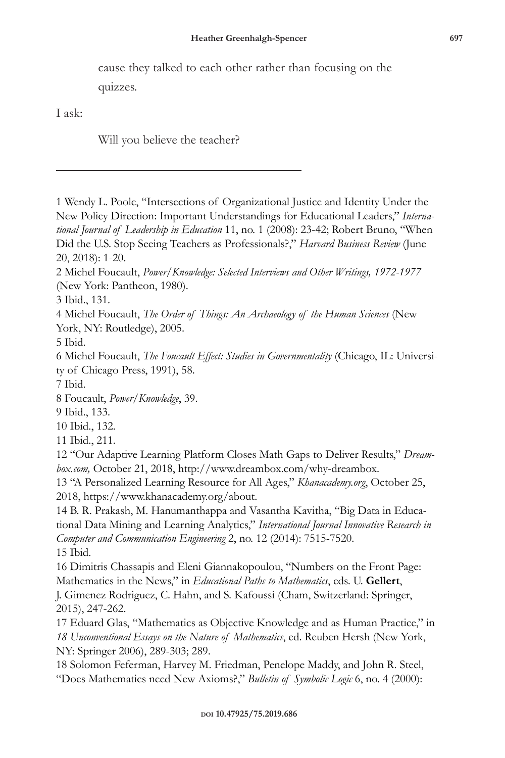cause they talked to each other rather than focusing on the quizzes.

I ask:

Will you believe the teacher?

1 Wendy L. Poole, "Intersections of Organizational Justice and Identity Under the New Policy Direction: Important Understandings for Educational Leaders," *International Journal of Leadership in Education* 11, no. 1 (2008): 23-42; Robert Bruno, "When Did the U.S. Stop Seeing Teachers as Professionals?," *Harvard Business Review* (June 20, 2018): 1-20.

2 Michel Foucault, *Power/Knowledge: Selected Interviews and Other Writings, 1972-1977* (New York: Pantheon, 1980).

3 Ibid., 131.

4 Michel Foucault, *The Order of Things: An Archaeology of the Human Sciences* (New York, NY: Routledge), 2005.

5 Ibid.

6 Michel Foucault, *The Foucault Effect: Studies in Governmentality* (Chicago, IL: University of Chicago Press, 1991), 58.

7 Ibid.

8 Foucault, *Power/Knowledge*, 39.

9 Ibid., 133.

10 Ibid., 132.

11 Ibid., 211.

12 "Our Adaptive Learning Platform Closes Math Gaps to Deliver Results," *Dreambox.com,* October 21, 2018, http://www.dreambox.com/why-dreambox.

13 "A Personalized Learning Resource for All Ages," *Khanacademy.org*, October 25, 2018, https://www.khanacademy.org/about.

14 B. R. Prakash, M. Hanumanthappa and Vasantha Kavitha, "Big Data in Educational Data Mining and Learning Analytics," *International Journal Innovative Research in Computer and Communication Engineering* 2, no. 12 (2014): 7515-7520. 15 Ibid.

16 Dimitris Chassapis and Eleni Giannakopoulou, "Numbers on the Front Page: Mathematics in the News," in *Educational Paths to Mathematics*, eds. U. **Gellert**, J. Gimenez Rodriguez, C. Hahn, and S. Kafoussi (Cham, Switzerland: Springer, 2015), 247-262.

17 Eduard Glas, "Mathematics as Objective Knowledge and as Human Practice," in *18 Unconventional Essays on the Nature of Mathematics*, ed. Reuben Hersh (New York, NY: Springer 2006), 289-303; 289.

18 Solomon Feferman, Harvey M. Friedman, Penelope Maddy, and John R. Steel, "Does Mathematics need New Axioms?," *Bulletin of Symbolic Logic* 6, no. 4 (2000):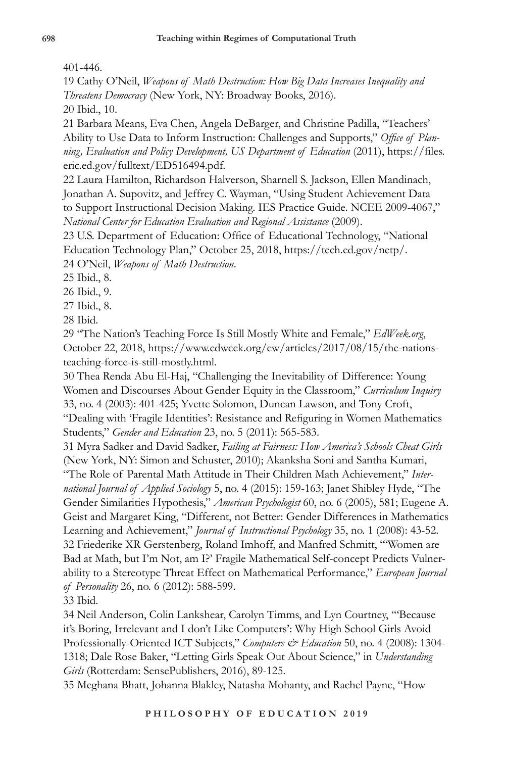401-446.

19 Cathy O'Neil, *Weapons of Math Destruction: How Big Data Increases Inequality and Threatens Democracy* (New York, NY: Broadway Books, 2016).

20 Ibid., 10.

21 Barbara Means, Eva Chen, Angela DeBarger, and Christine Padilla, "Teachers' Ability to Use Data to Inform Instruction: Challenges and Supports," *Office of Planning, Evaluation and Policy Development, US Department of Education* (2011), https://files. eric.ed.gov/fulltext/ED516494.pdf.

22 Laura Hamilton, Richardson Halverson, Sharnell S. Jackson, Ellen Mandinach, Jonathan A. Supovitz, and Jeffrey C. Wayman, "Using Student Achievement Data to Support Instructional Decision Making. IES Practice Guide. NCEE 2009-4067," *National Center for Education Evaluation and Regional Assistance* (2009).

23 U.S. Department of Education: Office of Educational Technology, "National Education Technology Plan," October 25, 2018, https://tech.ed.gov/netp/. 24 O'Neil, *Weapons of Math Destruction*.

25 Ibid., 8.

26 Ibid., 9.

27 Ibid., 8.

28 Ibid.

29 "The Nation's Teaching Force Is Still Mostly White and Female," *EdWeek.org*, October 22, 2018, https://www.edweek.org/ew/articles/2017/08/15/the-nationsteaching-force-is-still-mostly.html.

30 Thea Renda Abu El-Haj, "Challenging the Inevitability of Difference: Young Women and Discourses About Gender Equity in the Classroom," *Curriculum Inquiry* 33, no. 4 (2003): 401-425; Yvette Solomon, Duncan Lawson, and Tony Croft, "Dealing with 'Fragile Identities': Resistance and Refiguring in Women Mathematics Students," *Gender and Education* 23, no. 5 (2011): 565-583.

31 Myra Sadker and David Sadker, *Failing at Fairness: How America's Schools Cheat Girls* (New York, NY: Simon and Schuster, 2010); Akanksha Soni and Santha Kumari,

"The Role of Parental Math Attitude in Their Children Math Achievement," *International Journal of Applied Sociology* 5, no. 4 (2015): 159-163; Janet Shibley Hyde, "The Gender Similarities Hypothesis," *American Psychologist* 60, no. 6 (2005), 581; Eugene A. Geist and Margaret King, "Different, not Better: Gender Differences in Mathematics Learning and Achievement," *Journal of Instructional Psychology* 35, no. 1 (2008): 43-52. 32 Friederike XR Gerstenberg, Roland Imhoff, and Manfred Schmitt, "'Women are Bad at Math, but I'm Not, am I?' Fragile Mathematical Self-concept Predicts Vulnerability to a Stereotype Threat Effect on Mathematical Performance," *European Journal of Personality* 26, no. 6 (2012): 588-599.

33 Ibid.

34 Neil Anderson, Colin Lankshear, Carolyn Timms, and Lyn Courtney, "'Because it's Boring, Irrelevant and I don't Like Computers': Why High School Girls Avoid Professionally-Oriented ICT Subjects," *Computers & Education* 50, no. 4 (2008): 1304-1318; Dale Rose Baker, "Letting Girls Speak Out About Science," in *Understanding Girls* (Rotterdam: SensePublishers, 2016), 89-125.

35 Meghana Bhatt, Johanna Blakley, Natasha Mohanty, and Rachel Payne, "How